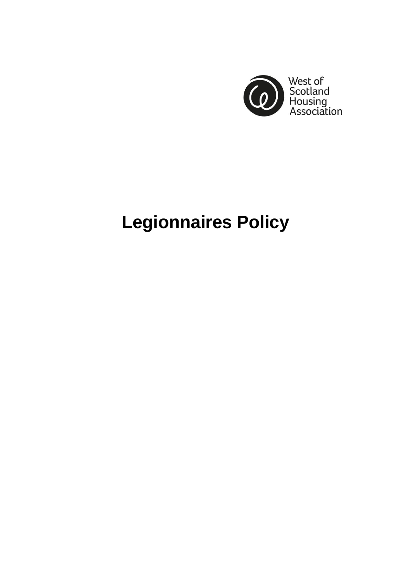

# **Legionnaires Policy**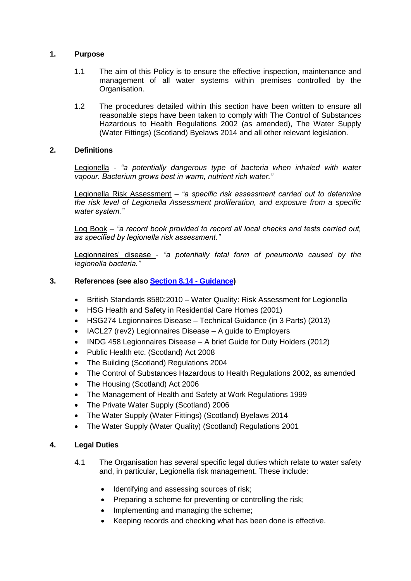### **1. Purpose**

- 1.1 The aim of this Policy is to ensure the effective inspection, maintenance and management of all water systems within premises controlled by the Organisation.
- 1.2 The procedures detailed within this section have been written to ensure all reasonable steps have been taken to comply with The Control of Substances Hazardous to Health Regulations 2002 (as amended), The Water Supply (Water Fittings) (Scotland) Byelaws 2014 and all other relevant legislation.

## **2. Definitions**

Legionella - *"a potentially dangerous type of bacteria when inhaled with water vapour. Bacterium grows best in warm, nutrient rich water."*

Legionella Risk Assessment *– "a specific risk assessment carried out to determine the risk level of Legionella Assessment proliferation, and exposure from a specific water system."*

Log Book – *"a record book provided to record all local checks and tests carried out, as specified by legionella risk assessment."*

Legionnaires' disease - *"a potentially fatal form of pneumonia caused by the legionella bacteria."*

# **3. References (see also Section 8.14 - Guidance)**

- British Standards 8580:2010 Water Quality: Risk Assessment for Legionella
- HSG Health and Safety in Residential Care Homes (2001)
- HSG274 Legionnaires Disease Technical Guidance (in 3 Parts) (2013)
- IACL27 (rev2) Legionnaires Disease A guide to Employers
- INDG 458 Legionnaires Disease A brief Guide for Duty Holders (2012)
- Public Health etc. (Scotland) Act 2008
- The Building (Scotland) Regulations 2004
- The Control of Substances Hazardous to Health Regulations 2002, as amended
- The Housing (Scotland) Act 2006
- The Management of Health and Safety at Work Regulations 1999
- The Private Water Supply (Scotland) 2006
- The Water Supply (Water Fittings) (Scotland) Byelaws 2014
- The Water Supply (Water Quality) (Scotland) Regulations 2001

## **4. Legal Duties**

- 4.1 The Organisation has several specific legal duties which relate to water safety and, in particular, Legionella risk management. These include:
	- Identifying and assessing sources of risk;
	- Preparing a scheme for preventing or controlling the risk;
	- Implementing and managing the scheme;
	- Keeping records and checking what has been done is effective.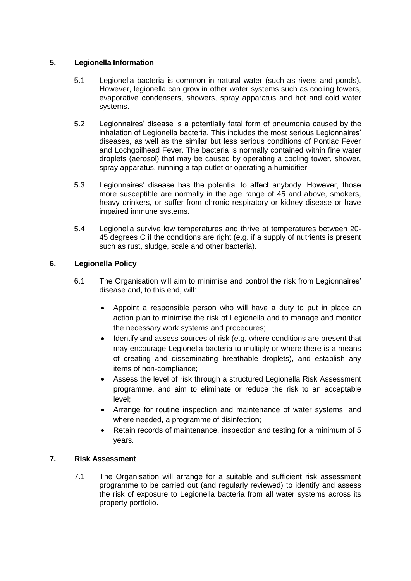# **5. Legionella Information**

- 5.1 Legionella bacteria is common in natural water (such as rivers and ponds). However, legionella can grow in other water systems such as cooling towers, evaporative condensers, showers, spray apparatus and hot and cold water systems.
- 5.2 Legionnaires' disease is a potentially fatal form of pneumonia caused by the inhalation of Legionella bacteria. This includes the most serious Legionnaires' diseases, as well as the similar but less serious conditions of Pontiac Fever and Lochgoilhead Fever. The bacteria is normally contained within fine water droplets (aerosol) that may be caused by operating a cooling tower, shower, spray apparatus, running a tap outlet or operating a humidifier.
- 5.3 Legionnaires' disease has the potential to affect anybody. However, those more susceptible are normally in the age range of 45 and above, smokers, heavy drinkers, or suffer from chronic respiratory or kidney disease or have impaired immune systems.
- 5.4 Legionella survive low temperatures and thrive at temperatures between 20- 45 degrees C if the conditions are right (e.g. if a supply of nutrients is present such as rust, sludge, scale and other bacteria).

# **6. Legionella Policy**

- 6.1 The Organisation will aim to minimise and control the risk from Legionnaires' disease and, to this end, will:
	- Appoint a responsible person who will have a duty to put in place an action plan to minimise the risk of Legionella and to manage and monitor the necessary work systems and procedures;
	- Identify and assess sources of risk (e.g. where conditions are present that may encourage Legionella bacteria to multiply or where there is a means of creating and disseminating breathable droplets), and establish any items of non-compliance;
	- Assess the level of risk through a structured Legionella Risk Assessment programme, and aim to eliminate or reduce the risk to an acceptable level;
	- Arrange for routine inspection and maintenance of water systems, and where needed, a programme of disinfection;
	- Retain records of maintenance, inspection and testing for a minimum of 5 years.

# **7. Risk Assessment**

7.1 The Organisation will arrange for a suitable and sufficient risk assessment programme to be carried out (and regularly reviewed) to identify and assess the risk of exposure to Legionella bacteria from all water systems across its property portfolio.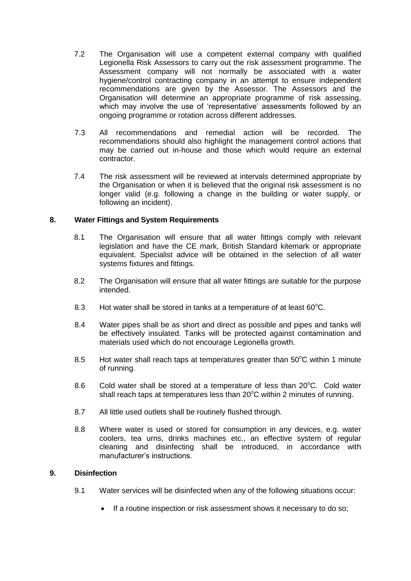- 7.2 The Organisation will use a competent external company with qualified Legionella Risk Assessors to carry out the risk assessment programme. The Assessment company will not normally be associated with a water hygiene/control contracting company in an attempt to ensure independent recommendations are given by the Assessor. The Assessors and the Organisation will determine an appropriate programme of risk assessing, which may involve the use of 'representative' assessments followed by an ongoing programme or rotation across different addresses.
- 7.3 All recommendations and remedial action will be recorded. The recommendations should also highlight the management control actions that may be carried out in-house and those which would require an external contractor.
- 7.4 The risk assessment will be reviewed at intervals determined appropriate by the Organisation or when it is believed that the original risk assessment is no longer valid (e.g. following a change in the building or water supply, or following an incident).

## **8. Water Fittings and System Requirements**

- 8.1 The Organisation will ensure that all water fittings comply with relevant legislation and have the CE mark, British Standard kitemark or appropriate equivalent. Specialist advice will be obtained in the selection of all water systems fixtures and fittings.
- 8.2 The Organisation will ensure that all water fittings are suitable for the purpose intended.
- 8.3 Hot water shall be stored in tanks at a temperature of at least  $60^{\circ}$ C.
- 8.4 Water pipes shall be as short and direct as possible and pipes and tanks will be effectively insulated. Tanks will be protected against contamination and materials used which do not encourage Legionella growth.
- 8.5 Hot water shall reach taps at temperatures greater than  $50^{\circ}$ C within 1 minute of running.
- 8.6 Cold water shall be stored at a temperature of less than  $20^{\circ}$ C. Cold water shall reach taps at temperatures less than  $20^{\circ}$ C within 2 minutes of running.
- 8.7 All little used outlets shall be routinely flushed through.
- 8.8 Where water is used or stored for consumption in any devices, e.g. water coolers, tea urns, drinks machines etc., an effective system of regular cleaning and disinfecting shall be introduced, in accordance with manufacturer's instructions.

## **9. Disinfection**

- 9.1 Water services will be disinfected when any of the following situations occur:
	- If a routine inspection or risk assessment shows it necessary to do so;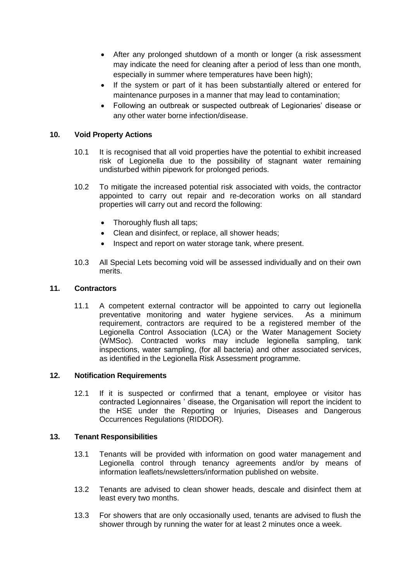- After any prolonged shutdown of a month or longer (a risk assessment may indicate the need for cleaning after a period of less than one month, especially in summer where temperatures have been high);
- If the system or part of it has been substantially altered or entered for maintenance purposes in a manner that may lead to contamination;
- Following an outbreak or suspected outbreak of Legionaries' disease or any other water borne infection/disease.

# **10. Void Property Actions**

- 10.1 It is recognised that all void properties have the potential to exhibit increased risk of Legionella due to the possibility of stagnant water remaining undisturbed within pipework for prolonged periods.
- 10.2 To mitigate the increased potential risk associated with voids, the contractor appointed to carry out repair and re-decoration works on all standard properties will carry out and record the following:
	- Thoroughly flush all taps;
	- Clean and disinfect, or replace, all shower heads:
	- Inspect and report on water storage tank, where present.
- 10.3 All Special Lets becoming void will be assessed individually and on their own merits.

#### **11. Contractors**

11.1 A competent external contractor will be appointed to carry out legionella preventative monitoring and water hygiene services. As a minimum requirement, contractors are required to be a registered member of the Legionella Control Association (LCA) or the Water Management Society (WMSoc). Contracted works may include legionella sampling, tank inspections, water sampling, (for all bacteria) and other associated services, as identified in the Legionella Risk Assessment programme.

### **12. Notification Requirements**

12.1 If it is suspected or confirmed that a tenant, employee or visitor has contracted Legionnaires ' disease, the Organisation will report the incident to the HSE under the Reporting or Injuries, Diseases and Dangerous Occurrences Regulations (RIDDOR).

#### **13. Tenant Responsibilities**

- 13.1 Tenants will be provided with information on good water management and Legionella control through tenancy agreements and/or by means of information leaflets/newsletters/information published on website.
- 13.2 Tenants are advised to clean shower heads, descale and disinfect them at least every two months.
- 13.3 For showers that are only occasionally used, tenants are advised to flush the shower through by running the water for at least 2 minutes once a week.